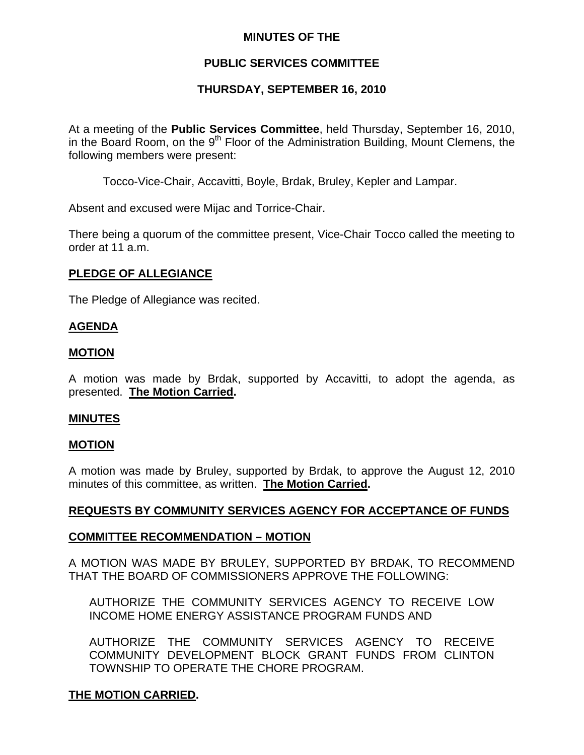## **MINUTES OF THE**

# **PUBLIC SERVICES COMMITTEE**

## **THURSDAY, SEPTEMBER 16, 2010**

At a meeting of the **Public Services Committee**, held Thursday, September 16, 2010, in the Board Room, on the  $9<sup>th</sup>$  Floor of the Administration Building, Mount Clemens, the following members were present:

Tocco-Vice-Chair, Accavitti, Boyle, Brdak, Bruley, Kepler and Lampar.

Absent and excused were Mijac and Torrice-Chair.

There being a quorum of the committee present, Vice-Chair Tocco called the meeting to order at 11 a.m.

#### **PLEDGE OF ALLEGIANCE**

The Pledge of Allegiance was recited.

#### **AGENDA**

#### **MOTION**

A motion was made by Brdak, supported by Accavitti, to adopt the agenda, as presented. **The Motion Carried.** 

#### **MINUTES**

#### **MOTION**

A motion was made by Bruley, supported by Brdak, to approve the August 12, 2010 minutes of this committee, as written. **The Motion Carried.** 

## **REQUESTS BY COMMUNITY SERVICES AGENCY FOR ACCEPTANCE OF FUNDS**

#### **COMMITTEE RECOMMENDATION – MOTION**

A MOTION WAS MADE BY BRULEY, SUPPORTED BY BRDAK, TO RECOMMEND THAT THE BOARD OF COMMISSIONERS APPROVE THE FOLLOWING:

AUTHORIZE THE COMMUNITY SERVICES AGENCY TO RECEIVE LOW INCOME HOME ENERGY ASSISTANCE PROGRAM FUNDS AND

AUTHORIZE THE COMMUNITY SERVICES AGENCY TO RECEIVE COMMUNITY DEVELOPMENT BLOCK GRANT FUNDS FROM CLINTON TOWNSHIP TO OPERATE THE CHORE PROGRAM.

## **THE MOTION CARRIED.**